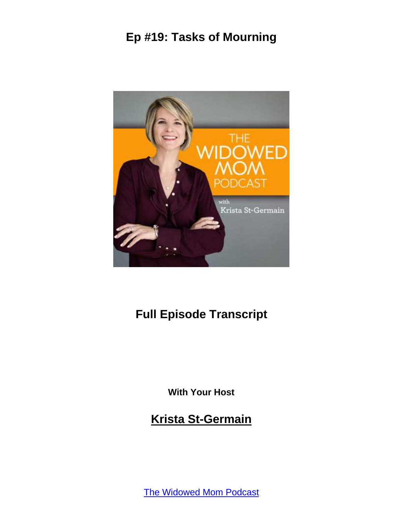

# **Full Episode Transcript**

**With Your Host**

**Krista St-Germain**

[The Widowed Mom Podcast](https://coachingwithkrista.com/podcast)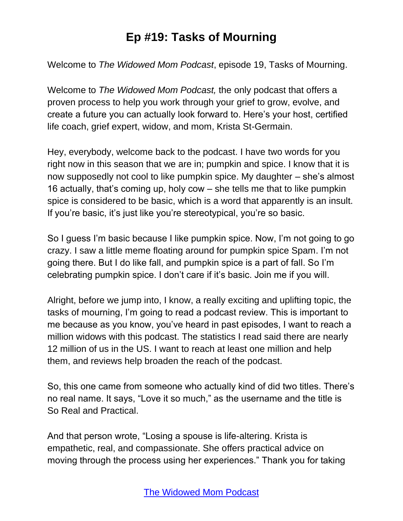Welcome to *The Widowed Mom Podcast*, episode 19, Tasks of Mourning.

Welcome to *The Widowed Mom Podcast,* the only podcast that offers a proven process to help you work through your grief to grow, evolve, and create a future you can actually look forward to. Here's your host, certified life coach, grief expert, widow, and mom, Krista St-Germain.

Hey, everybody, welcome back to the podcast. I have two words for you right now in this season that we are in; pumpkin and spice. I know that it is now supposedly not cool to like pumpkin spice. My daughter – she's almost 16 actually, that's coming up, holy cow – she tells me that to like pumpkin spice is considered to be basic, which is a word that apparently is an insult. If you're basic, it's just like you're stereotypical, you're so basic.

So I guess I'm basic because I like pumpkin spice. Now, I'm not going to go crazy. I saw a little meme floating around for pumpkin spice Spam. I'm not going there. But I do like fall, and pumpkin spice is a part of fall. So I'm celebrating pumpkin spice. I don't care if it's basic. Join me if you will.

Alright, before we jump into, I know, a really exciting and uplifting topic, the tasks of mourning, I'm going to read a podcast review. This is important to me because as you know, you've heard in past episodes, I want to reach a million widows with this podcast. The statistics I read said there are nearly 12 million of us in the US. I want to reach at least one million and help them, and reviews help broaden the reach of the podcast.

So, this one came from someone who actually kind of did two titles. There's no real name. It says, "Love it so much," as the username and the title is So Real and Practical.

And that person wrote, "Losing a spouse is life-altering. Krista is empathetic, real, and compassionate. She offers practical advice on moving through the process using her experiences." Thank you for taking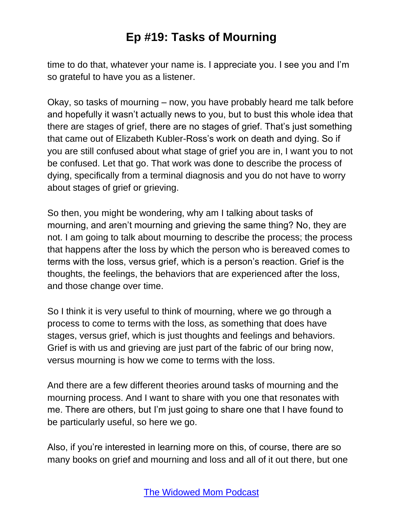time to do that, whatever your name is. I appreciate you. I see you and I'm so grateful to have you as a listener.

Okay, so tasks of mourning – now, you have probably heard me talk before and hopefully it wasn't actually news to you, but to bust this whole idea that there are stages of grief, there are no stages of grief. That's just something that came out of Elizabeth Kubler-Ross's work on death and dying. So if you are still confused about what stage of grief you are in, I want you to not be confused. Let that go. That work was done to describe the process of dying, specifically from a terminal diagnosis and you do not have to worry about stages of grief or grieving.

So then, you might be wondering, why am I talking about tasks of mourning, and aren't mourning and grieving the same thing? No, they are not. I am going to talk about mourning to describe the process; the process that happens after the loss by which the person who is bereaved comes to terms with the loss, versus grief, which is a person's reaction. Grief is the thoughts, the feelings, the behaviors that are experienced after the loss, and those change over time.

So I think it is very useful to think of mourning, where we go through a process to come to terms with the loss, as something that does have stages, versus grief, which is just thoughts and feelings and behaviors. Grief is with us and grieving are just part of the fabric of our bring now, versus mourning is how we come to terms with the loss.

And there are a few different theories around tasks of mourning and the mourning process. And I want to share with you one that resonates with me. There are others, but I'm just going to share one that I have found to be particularly useful, so here we go.

Also, if you're interested in learning more on this, of course, there are so many books on grief and mourning and loss and all of it out there, but one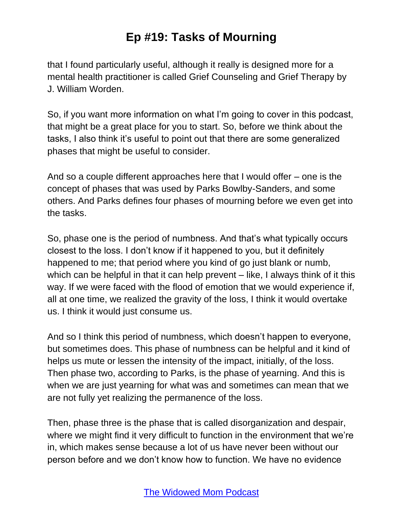that I found particularly useful, although it really is designed more for a mental health practitioner is called Grief Counseling and Grief Therapy by J. William Worden.

So, if you want more information on what I'm going to cover in this podcast, that might be a great place for you to start. So, before we think about the tasks, I also think it's useful to point out that there are some generalized phases that might be useful to consider.

And so a couple different approaches here that I would offer – one is the concept of phases that was used by Parks Bowlby-Sanders, and some others. And Parks defines four phases of mourning before we even get into the tasks.

So, phase one is the period of numbness. And that's what typically occurs closest to the loss. I don't know if it happened to you, but it definitely happened to me; that period where you kind of go just blank or numb, which can be helpful in that it can help prevent – like, I always think of it this way. If we were faced with the flood of emotion that we would experience if, all at one time, we realized the gravity of the loss, I think it would overtake us. I think it would just consume us.

And so I think this period of numbness, which doesn't happen to everyone, but sometimes does. This phase of numbness can be helpful and it kind of helps us mute or lessen the intensity of the impact, initially, of the loss. Then phase two, according to Parks, is the phase of yearning. And this is when we are just yearning for what was and sometimes can mean that we are not fully yet realizing the permanence of the loss.

Then, phase three is the phase that is called disorganization and despair, where we might find it very difficult to function in the environment that we're in, which makes sense because a lot of us have never been without our person before and we don't know how to function. We have no evidence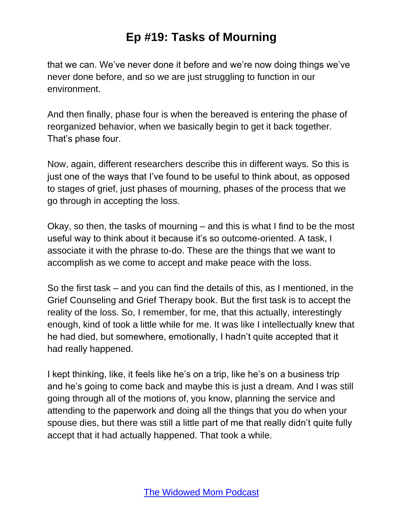that we can. We've never done it before and we're now doing things we've never done before, and so we are just struggling to function in our environment.

And then finally, phase four is when the bereaved is entering the phase of reorganized behavior, when we basically begin to get it back together. That's phase four.

Now, again, different researchers describe this in different ways. So this is just one of the ways that I've found to be useful to think about, as opposed to stages of grief, just phases of mourning, phases of the process that we go through in accepting the loss.

Okay, so then, the tasks of mourning – and this is what I find to be the most useful way to think about it because it's so outcome-oriented. A task, I associate it with the phrase to-do. These are the things that we want to accomplish as we come to accept and make peace with the loss.

So the first task – and you can find the details of this, as I mentioned, in the Grief Counseling and Grief Therapy book. But the first task is to accept the reality of the loss. So, I remember, for me, that this actually, interestingly enough, kind of took a little while for me. It was like I intellectually knew that he had died, but somewhere, emotionally, I hadn't quite accepted that it had really happened.

I kept thinking, like, it feels like he's on a trip, like he's on a business trip and he's going to come back and maybe this is just a dream. And I was still going through all of the motions of, you know, planning the service and attending to the paperwork and doing all the things that you do when your spouse dies, but there was still a little part of me that really didn't quite fully accept that it had actually happened. That took a while.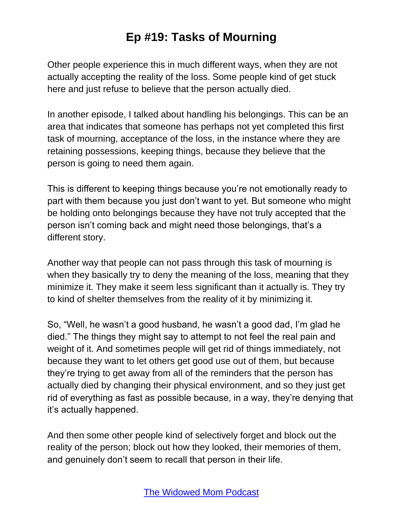Other people experience this in much different ways, when they are not actually accepting the reality of the loss. Some people kind of get stuck here and just refuse to believe that the person actually died.

In another episode, I talked about handling his belongings. This can be an area that indicates that someone has perhaps not yet completed this first task of mourning, acceptance of the loss, in the instance where they are retaining possessions, keeping things, because they believe that the person is going to need them again.

This is different to keeping things because you're not emotionally ready to part with them because you just don't want to yet. But someone who might be holding onto belongings because they have not truly accepted that the person isn't coming back and might need those belongings, that's a different story.

Another way that people can not pass through this task of mourning is when they basically try to deny the meaning of the loss, meaning that they minimize it. They make it seem less significant than it actually is. They try to kind of shelter themselves from the reality of it by minimizing it.

So, "Well, he wasn't a good husband, he wasn't a good dad, I'm glad he died." The things they might say to attempt to not feel the real pain and weight of it. And sometimes people will get rid of things immediately, not because they want to let others get good use out of them, but because they're trying to get away from all of the reminders that the person has actually died by changing their physical environment, and so they just get rid of everything as fast as possible because, in a way, they're denying that it's actually happened.

And then some other people kind of selectively forget and block out the reality of the person; block out how they looked, their memories of them, and genuinely don't seem to recall that person in their life.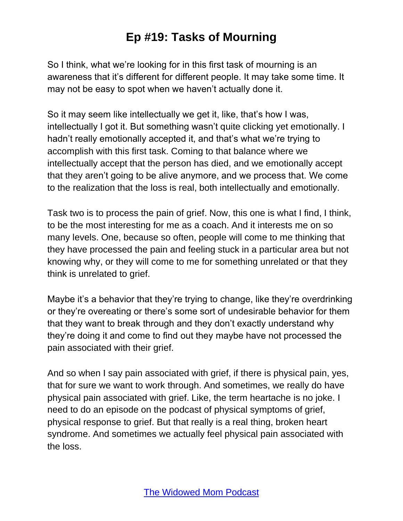So I think, what we're looking for in this first task of mourning is an awareness that it's different for different people. It may take some time. It may not be easy to spot when we haven't actually done it.

So it may seem like intellectually we get it, like, that's how I was, intellectually I got it. But something wasn't quite clicking yet emotionally. I hadn't really emotionally accepted it, and that's what we're trying to accomplish with this first task. Coming to that balance where we intellectually accept that the person has died, and we emotionally accept that they aren't going to be alive anymore, and we process that. We come to the realization that the loss is real, both intellectually and emotionally.

Task two is to process the pain of grief. Now, this one is what I find, I think, to be the most interesting for me as a coach. And it interests me on so many levels. One, because so often, people will come to me thinking that they have processed the pain and feeling stuck in a particular area but not knowing why, or they will come to me for something unrelated or that they think is unrelated to grief.

Maybe it's a behavior that they're trying to change, like they're overdrinking or they're overeating or there's some sort of undesirable behavior for them that they want to break through and they don't exactly understand why they're doing it and come to find out they maybe have not processed the pain associated with their grief.

And so when I say pain associated with grief, if there is physical pain, yes, that for sure we want to work through. And sometimes, we really do have physical pain associated with grief. Like, the term heartache is no joke. I need to do an episode on the podcast of physical symptoms of grief, physical response to grief. But that really is a real thing, broken heart syndrome. And sometimes we actually feel physical pain associated with the loss.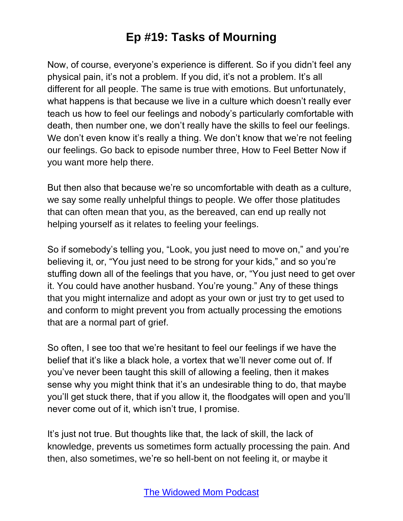Now, of course, everyone's experience is different. So if you didn't feel any physical pain, it's not a problem. If you did, it's not a problem. It's all different for all people. The same is true with emotions. But unfortunately, what happens is that because we live in a culture which doesn't really ever teach us how to feel our feelings and nobody's particularly comfortable with death, then number one, we don't really have the skills to feel our feelings. We don't even know it's really a thing. We don't know that we're not feeling our feelings. Go back to episode number three, How to Feel Better Now if you want more help there.

But then also that because we're so uncomfortable with death as a culture, we say some really unhelpful things to people. We offer those platitudes that can often mean that you, as the bereaved, can end up really not helping yourself as it relates to feeling your feelings.

So if somebody's telling you, "Look, you just need to move on," and you're believing it, or, "You just need to be strong for your kids," and so you're stuffing down all of the feelings that you have, or, "You just need to get over it. You could have another husband. You're young." Any of these things that you might internalize and adopt as your own or just try to get used to and conform to might prevent you from actually processing the emotions that are a normal part of grief.

So often, I see too that we're hesitant to feel our feelings if we have the belief that it's like a black hole, a vortex that we'll never come out of. If you've never been taught this skill of allowing a feeling, then it makes sense why you might think that it's an undesirable thing to do, that maybe you'll get stuck there, that if you allow it, the floodgates will open and you'll never come out of it, which isn't true, I promise.

It's just not true. But thoughts like that, the lack of skill, the lack of knowledge, prevents us sometimes form actually processing the pain. And then, also sometimes, we're so hell-bent on not feeling it, or maybe it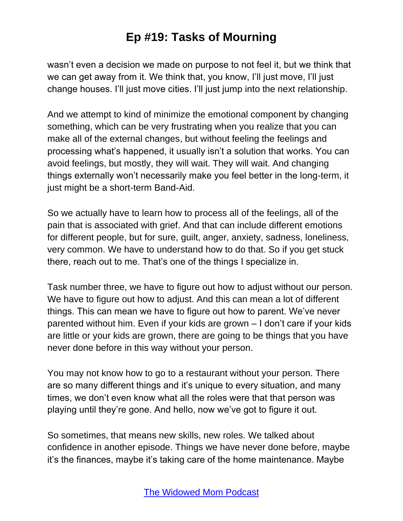wasn't even a decision we made on purpose to not feel it, but we think that we can get away from it. We think that, you know, I'll just move, I'll just change houses. I'll just move cities. I'll just jump into the next relationship.

And we attempt to kind of minimize the emotional component by changing something, which can be very frustrating when you realize that you can make all of the external changes, but without feeling the feelings and processing what's happened, it usually isn't a solution that works. You can avoid feelings, but mostly, they will wait. They will wait. And changing things externally won't necessarily make you feel better in the long-term, it just might be a short-term Band-Aid.

So we actually have to learn how to process all of the feelings, all of the pain that is associated with grief. And that can include different emotions for different people, but for sure, guilt, anger, anxiety, sadness, loneliness, very common. We have to understand how to do that. So if you get stuck there, reach out to me. That's one of the things I specialize in.

Task number three, we have to figure out how to adjust without our person. We have to figure out how to adjust. And this can mean a lot of different things. This can mean we have to figure out how to parent. We've never parented without him. Even if your kids are grown – I don't care if your kids are little or your kids are grown, there are going to be things that you have never done before in this way without your person.

You may not know how to go to a restaurant without your person. There are so many different things and it's unique to every situation, and many times, we don't even know what all the roles were that that person was playing until they're gone. And hello, now we've got to figure it out.

So sometimes, that means new skills, new roles. We talked about confidence in another episode. Things we have never done before, maybe it's the finances, maybe it's taking care of the home maintenance. Maybe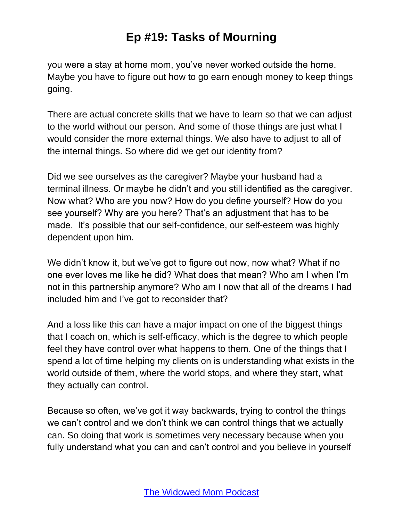you were a stay at home mom, you've never worked outside the home. Maybe you have to figure out how to go earn enough money to keep things going.

There are actual concrete skills that we have to learn so that we can adjust to the world without our person. And some of those things are just what I would consider the more external things. We also have to adjust to all of the internal things. So where did we get our identity from?

Did we see ourselves as the caregiver? Maybe your husband had a terminal illness. Or maybe he didn't and you still identified as the caregiver. Now what? Who are you now? How do you define yourself? How do you see yourself? Why are you here? That's an adjustment that has to be made. It's possible that our self-confidence, our self-esteem was highly dependent upon him.

We didn't know it, but we've got to figure out now, now what? What if no one ever loves me like he did? What does that mean? Who am I when I'm not in this partnership anymore? Who am I now that all of the dreams I had included him and I've got to reconsider that?

And a loss like this can have a major impact on one of the biggest things that I coach on, which is self-efficacy, which is the degree to which people feel they have control over what happens to them. One of the things that I spend a lot of time helping my clients on is understanding what exists in the world outside of them, where the world stops, and where they start, what they actually can control.

Because so often, we've got it way backwards, trying to control the things we can't control and we don't think we can control things that we actually can. So doing that work is sometimes very necessary because when you fully understand what you can and can't control and you believe in yourself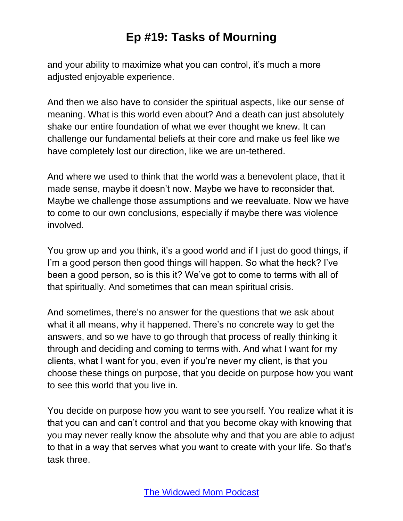and your ability to maximize what you can control, it's much a more adjusted enjoyable experience.

And then we also have to consider the spiritual aspects, like our sense of meaning. What is this world even about? And a death can just absolutely shake our entire foundation of what we ever thought we knew. It can challenge our fundamental beliefs at their core and make us feel like we have completely lost our direction, like we are un-tethered.

And where we used to think that the world was a benevolent place, that it made sense, maybe it doesn't now. Maybe we have to reconsider that. Maybe we challenge those assumptions and we reevaluate. Now we have to come to our own conclusions, especially if maybe there was violence involved.

You grow up and you think, it's a good world and if I just do good things, if I'm a good person then good things will happen. So what the heck? I've been a good person, so is this it? We've got to come to terms with all of that spiritually. And sometimes that can mean spiritual crisis.

And sometimes, there's no answer for the questions that we ask about what it all means, why it happened. There's no concrete way to get the answers, and so we have to go through that process of really thinking it through and deciding and coming to terms with. And what I want for my clients, what I want for you, even if you're never my client, is that you choose these things on purpose, that you decide on purpose how you want to see this world that you live in.

You decide on purpose how you want to see yourself. You realize what it is that you can and can't control and that you become okay with knowing that you may never really know the absolute why and that you are able to adjust to that in a way that serves what you want to create with your life. So that's task three.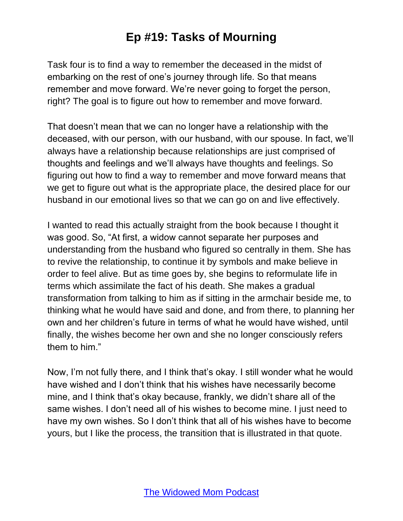Task four is to find a way to remember the deceased in the midst of embarking on the rest of one's journey through life. So that means remember and move forward. We're never going to forget the person, right? The goal is to figure out how to remember and move forward.

That doesn't mean that we can no longer have a relationship with the deceased, with our person, with our husband, with our spouse. In fact, we'll always have a relationship because relationships are just comprised of thoughts and feelings and we'll always have thoughts and feelings. So figuring out how to find a way to remember and move forward means that we get to figure out what is the appropriate place, the desired place for our husband in our emotional lives so that we can go on and live effectively.

I wanted to read this actually straight from the book because I thought it was good. So, "At first, a widow cannot separate her purposes and understanding from the husband who figured so centrally in them. She has to revive the relationship, to continue it by symbols and make believe in order to feel alive. But as time goes by, she begins to reformulate life in terms which assimilate the fact of his death. She makes a gradual transformation from talking to him as if sitting in the armchair beside me, to thinking what he would have said and done, and from there, to planning her own and her children's future in terms of what he would have wished, until finally, the wishes become her own and she no longer consciously refers them to him."

Now, I'm not fully there, and I think that's okay. I still wonder what he would have wished and I don't think that his wishes have necessarily become mine, and I think that's okay because, frankly, we didn't share all of the same wishes. I don't need all of his wishes to become mine. I just need to have my own wishes. So I don't think that all of his wishes have to become yours, but I like the process, the transition that is illustrated in that quote.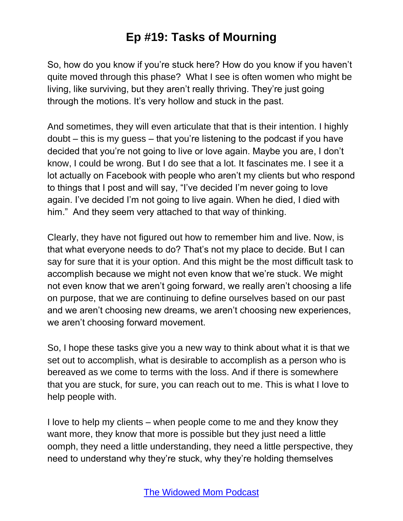So, how do you know if you're stuck here? How do you know if you haven't quite moved through this phase? What I see is often women who might be living, like surviving, but they aren't really thriving. They're just going through the motions. It's very hollow and stuck in the past.

And sometimes, they will even articulate that that is their intention. I highly doubt – this is my guess – that you're listening to the podcast if you have decided that you're not going to live or love again. Maybe you are, I don't know, I could be wrong. But I do see that a lot. It fascinates me. I see it a lot actually on Facebook with people who aren't my clients but who respond to things that I post and will say, "I've decided I'm never going to love again. I've decided I'm not going to live again. When he died, I died with him." And they seem very attached to that way of thinking.

Clearly, they have not figured out how to remember him and live. Now, is that what everyone needs to do? That's not my place to decide. But I can say for sure that it is your option. And this might be the most difficult task to accomplish because we might not even know that we're stuck. We might not even know that we aren't going forward, we really aren't choosing a life on purpose, that we are continuing to define ourselves based on our past and we aren't choosing new dreams, we aren't choosing new experiences, we aren't choosing forward movement.

So, I hope these tasks give you a new way to think about what it is that we set out to accomplish, what is desirable to accomplish as a person who is bereaved as we come to terms with the loss. And if there is somewhere that you are stuck, for sure, you can reach out to me. This is what I love to help people with.

I love to help my clients – when people come to me and they know they want more, they know that more is possible but they just need a little oomph, they need a little understanding, they need a little perspective, they need to understand why they're stuck, why they're holding themselves